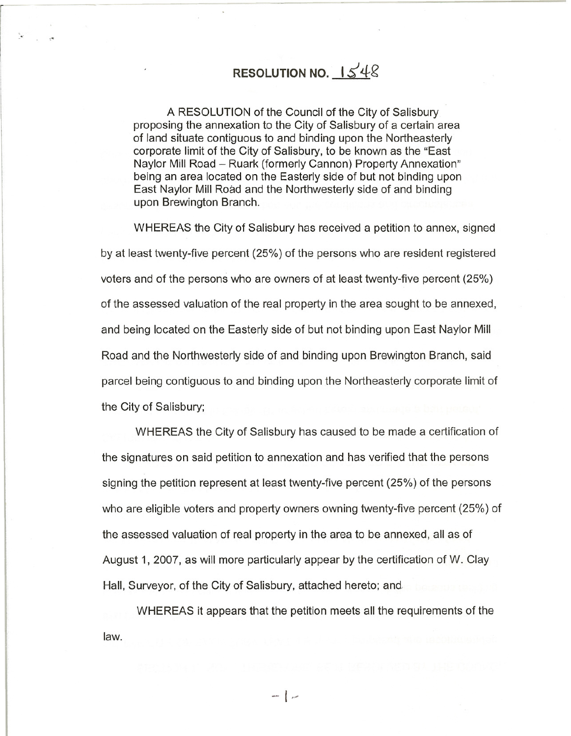## **RESOLUTION NO.**  $1548$

A RESOLUTION of the Council of the City of Salisbury proposing the annexation to the City of Salisbury of a certain area of land situate contiguous to and binding upon the Northeasterly corporate limit of the City of Salisbury, to be known as the "East Naylor Mill Road - Ruark (formerly Cannon) Property Annexation" being an area located on the Easterly side of but not binding upon East Naylor Mill Road and the Northwesterly side of and binding upon Brewington Branch.

WHEREAS the City of Salisbury has received a petition to annex, signed by at least twenty-five percent (25%) of the persons who are resident registered voters and of the persons who are owners of at least twenty-five percent (25%) of the assessed valuation of the real property in the area sought to be annexed, and being located on the Easterly side of but not binding upon East Naylor Mill Road and the Northwesterly side of and binding upon Brewington Branch, said parcel being contiguous to and binding upon the Northeasterly corporate limit of the City of Salisbury;

WHEREAS the City of Salisbury has caused to be made a certification of the signatures on said petition to annexation and has verified that the persons signing the petition represent at least twenty-five percent (25%) of the persons who are eligible voters and property owners owning twenty-five percent (25%) of the assessed valuation of real property in the area to be annexed, all as of August 1, 2007, as will more particularly appear by the certification of W. Clay Hall, Surveyor, of the City of Salisbury, attached hereto; and

WHEREAS it appears that the petition meets all the requirements of the law.

 $-$ | .-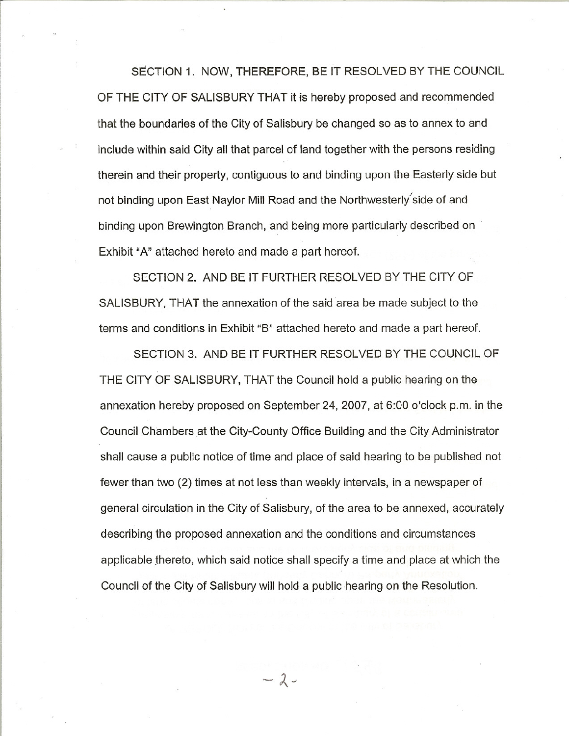SECTION 1. NOW, THEREFORE, BE IT RESOLVED BY THE COUNCIL OF THE CITY OF SALISBURY THAT it is hereby proposed and recommended that the boundaries of the City of Salisbury be changed so as to annex to and include within said City all that parcel of land together with the persons residing therein and their property, contiguous to and binding upon the Easterly side but not binding upon East Naylor Mill Road and the Northwesterly side of and binding upon Brewington Branch, and being more particularly described on . Exhibit "A" attached hereto and made a part hereof.

SECTION 2. AND BE IT FURTHER RESOLVED BY THE CITY OF SALISBURY, THAT the annexation of the said area be made subject to the terms and conditions in Exhibit "B" attached hereto and made a part hereof.

SECTION 3. AND BE IT FURTHER RESOLVED BY THE COUNCIL OF THE CITY OF SALISBURY, THAT the Council hold a public hearing on the annexation hereby proposed on September 24, 2007, at 6:00 o'clock p.m. in the Council Chambers at the City-County Office Building and the City Administrator shall cause a public notice of time and place of said hearing to be published not fewer than two (2) times at not less than weekly intervals, in a newspaper of general circulation in the City of Salisbury, of the area to be annexed, accurately describing the proposed annexation and the conditions and circumstances applicable thereto, which said notice shall specify a time and place at which the Council of the City of Salisbury will hold a public hearing on the Resolution.

 $-2-$